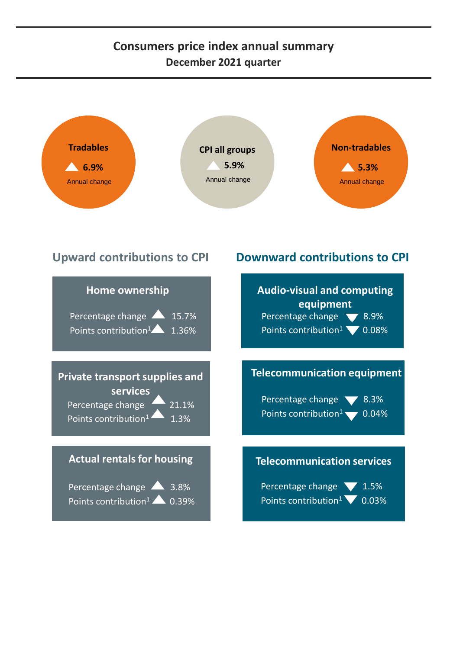## **Consumers price index annual summary December 2021 quarter**